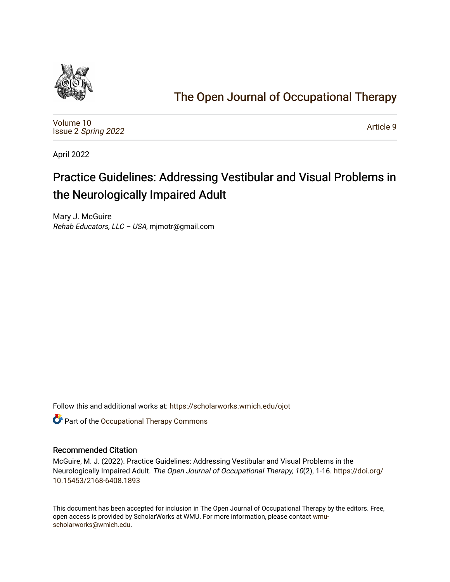

# [The Open Journal of Occupational Therapy](https://scholarworks.wmich.edu/ojot)

[Volume 10](https://scholarworks.wmich.edu/ojot/vol10) Issue 2 [Spring 2022](https://scholarworks.wmich.edu/ojot/vol10/iss2) 

[Article 9](https://scholarworks.wmich.edu/ojot/vol10/iss2/9) 

April 2022

# Practice Guidelines: Addressing Vestibular and Visual Problems in the Neurologically Impaired Adult

Mary J. McGuire Rehab Educators, LLC – USA, mjmotr@gmail.com

Follow this and additional works at: [https://scholarworks.wmich.edu/ojot](https://scholarworks.wmich.edu/ojot?utm_source=scholarworks.wmich.edu%2Fojot%2Fvol10%2Fiss2%2F9&utm_medium=PDF&utm_campaign=PDFCoverPages)

**C** Part of the Occupational Therapy Commons

## Recommended Citation

McGuire, M. J. (2022). Practice Guidelines: Addressing Vestibular and Visual Problems in the Neurologically Impaired Adult. The Open Journal of Occupational Therapy, 10(2), 1-16. [https://doi.org/](https://doi.org/10.15453/2168-6408.1893) [10.15453/2168-6408.1893](https://doi.org/10.15453/2168-6408.1893) 

This document has been accepted for inclusion in The Open Journal of Occupational Therapy by the editors. Free, open access is provided by ScholarWorks at WMU. For more information, please contact [wmu](mailto:wmu-scholarworks@wmich.edu)[scholarworks@wmich.edu.](mailto:wmu-scholarworks@wmich.edu)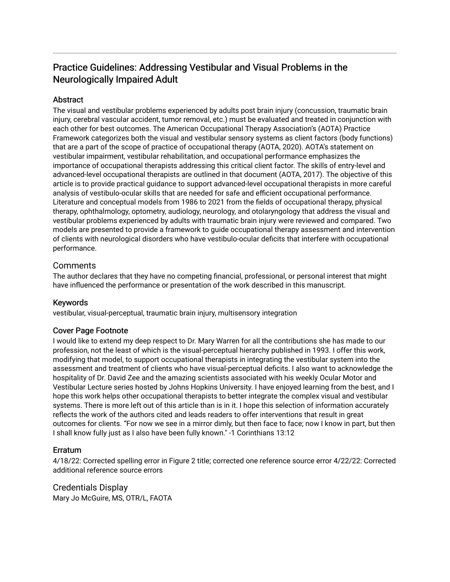# Practice Guidelines: Addressing Vestibular and Visual Problems in the Neurologically Impaired Adult

## **Abstract**

The visual and vestibular problems experienced by adults post brain injury (concussion, traumatic brain injury, cerebral vascular accident, tumor removal, etc.) must be evaluated and treated in conjunction with each other for best outcomes. The American Occupational Therapy Association's (AOTA) Practice Framework categorizes both the visual and vestibular sensory systems as client factors (body functions) that are a part of the scope of practice of occupational therapy (AOTA, 2020). AOTA's statement on vestibular impairment, vestibular rehabilitation, and occupational performance emphasizes the importance of occupational therapists addressing this critical client factor. The skills of entry-level and advanced-level occupational therapists are outlined in that document (AOTA, 2017). The objective of this article is to provide practical guidance to support advanced-level occupational therapists in more careful analysis of vestibulo-ocular skills that are needed for safe and efficient occupational performance. Literature and conceptual models from 1986 to 2021 from the fields of occupational therapy, physical therapy, ophthalmology, optometry, audiology, neurology, and otolaryngology that address the visual and vestibular problems experienced by adults with traumatic brain injury were reviewed and compared. Two models are presented to provide a framework to guide occupational therapy assessment and intervention of clients with neurological disorders who have vestibulo-ocular deficits that interfere with occupational performance.

## Comments

The author declares that they have no competing financial, professional, or personal interest that might have influenced the performance or presentation of the work described in this manuscript.

## Keywords

vestibular, visual-perceptual, traumatic brain injury, multisensory integration

## Cover Page Footnote

I would like to extend my deep respect to Dr. Mary Warren for all the contributions she has made to our profession, not the least of which is the visual-perceptual hierarchy published in 1993. I offer this work, modifying that model, to support occupational therapists in integrating the vestibular system into the assessment and treatment of clients who have visual-perceptual deficits. I also want to acknowledge the hospitality of Dr. David Zee and the amazing scientists associated with his weekly Ocular Motor and Vestibular Lecture series hosted by Johns Hopkins University. I have enjoyed learning from the best, and I hope this work helps other occupational therapists to better integrate the complex visual and vestibular systems. There is more left out of this article than is in it. I hope this selection of information accurately reflects the work of the authors cited and leads readers to offer interventions that result in great outcomes for clients. "For now we see in a mirror dimly, but then face to face; now I know in part, but then I shall know fully just as I also have been fully known." -1 Corinthians 13:12

## **Erratum**

4/18/22: Corrected spelling error in Figure 2 title; corrected one reference source error 4/22/22: Corrected additional reference source errors

Credentials Display Mary Jo McGuire, MS, OTR/L, FAOTA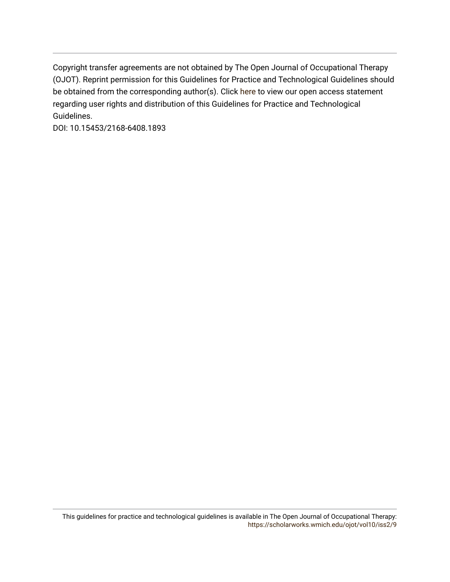Copyright transfer agreements are not obtained by The Open Journal of Occupational Therapy (OJOT). Reprint permission for this Guidelines for Practice and Technological Guidelines should be obtained from the corresponding author(s). Click [here](https://scholarworks.wmich.edu/ojot/policies.html#rights) to view our open access statement regarding user rights and distribution of this Guidelines for Practice and Technological Guidelines.

DOI: 10.15453/2168-6408.1893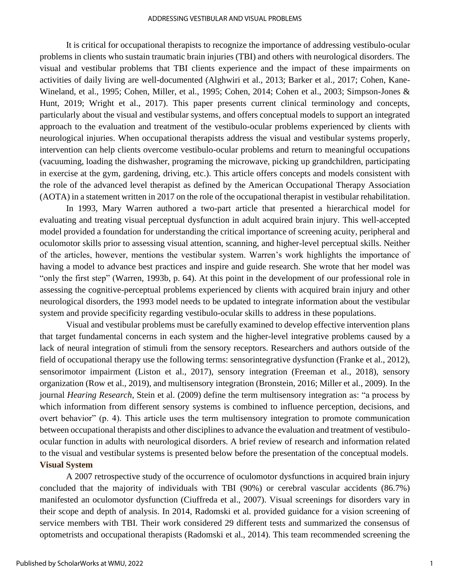#### ADDRESSING VESTIBULAR AND VISUAL PROBLEMS

It is critical for occupational therapists to recognize the importance of addressing vestibulo-ocular problems in clients who sustain traumatic brain injuries (TBI) and others with neurological disorders. The visual and vestibular problems that TBI clients experience and the impact of these impairments on activities of daily living are well-documented (Alghwiri et al., 2013; Barker et al., 2017; Cohen, Kane-Wineland, et al., 1995; Cohen, Miller, et al., 1995; Cohen, 2014; Cohen et al., 2003; Simpson-Jones & Hunt, 2019; Wright et al., 2017). This paper presents current clinical terminology and concepts, particularly about the visual and vestibular systems, and offers conceptual models to support an integrated approach to the evaluation and treatment of the vestibulo-ocular problems experienced by clients with neurological injuries. When occupational therapists address the visual and vestibular systems properly, intervention can help clients overcome vestibulo-ocular problems and return to meaningful occupations (vacuuming, loading the dishwasher, programing the microwave, picking up grandchildren, participating in exercise at the gym, gardening, driving, etc.). This article offers concepts and models consistent with the role of the advanced level therapist as defined by the American Occupational Therapy Association (AOTA) in a statement written in 2017 on the role of the occupational therapist in vestibular rehabilitation.

In 1993, Mary Warren authored a two-part article that presented a hierarchical model for evaluating and treating visual perceptual dysfunction in adult acquired brain injury. This well-accepted model provided a foundation for understanding the critical importance of screening acuity, peripheral and oculomotor skills prior to assessing visual attention, scanning, and higher-level perceptual skills. Neither of the articles, however, mentions the vestibular system. Warren's work highlights the importance of having a model to advance best practices and inspire and guide research. She wrote that her model was "only the first step" (Warren, 1993b, p. 64). At this point in the development of our professional role in assessing the cognitive-perceptual problems experienced by clients with acquired brain injury and other neurological disorders, the 1993 model needs to be updated to integrate information about the vestibular system and provide specificity regarding vestibulo-ocular skills to address in these populations.

Visual and vestibular problems must be carefully examined to develop effective intervention plans that target fundamental concerns in each system and the higher-level integrative problems caused by a lack of neural integration of stimuli from the sensory receptors. Researchers and authors outside of the field of occupational therapy use the following terms: sensorintegrative dysfunction (Franke et al., 2012), sensorimotor impairment (Liston et al., 2017), sensory integration (Freeman et al., 2018), sensory organization (Row et al., 2019), and multisensory integration (Bronstein, 2016; Miller et al., 2009). In the journal *Hearing Research*, Stein et al. (2009) define the term multisensory integration as: "a process by which information from different sensory systems is combined to influence perception, decisions, and overt behavior" (p. 4). This article uses the term multisensory integration to promote communication between occupational therapists and other disciplines to advance the evaluation and treatment of vestibuloocular function in adults with neurological disorders. A brief review of research and information related to the visual and vestibular systems is presented below before the presentation of the conceptual models. **Visual System** 

A 2007 retrospective study of the occurrence of oculomotor dysfunctions in acquired brain injury concluded that the majority of individuals with TBI (90%) or cerebral vascular accidents (86.7%) manifested an oculomotor dysfunction (Ciuffreda et al., 2007). Visual screenings for disorders vary in their scope and depth of analysis. In 2014, Radomski et al. provided guidance for a vision screening of service members with TBI. Their work considered 29 different tests and summarized the consensus of optometrists and occupational therapists (Radomski et al., 2014). This team recommended screening the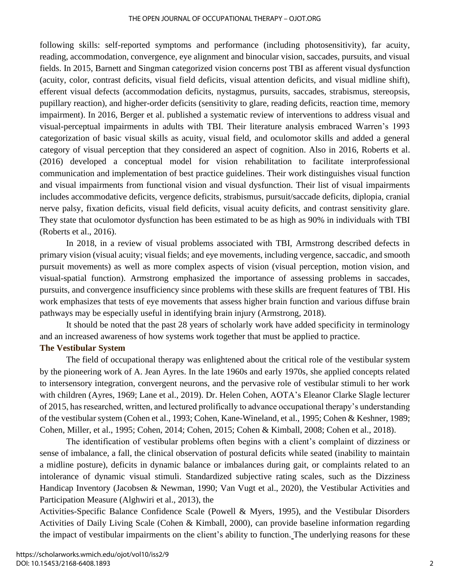#### THE OPEN JOURNAL OF OCCUPATIONAL THERAPY – OJOT.ORG

following skills: self-reported symptoms and performance (including photosensitivity), far acuity, reading, accommodation, convergence, eye alignment and binocular vision, saccades, pursuits, and visual fields. In 2015, Barnett and Singman categorized vision concerns post TBI as afferent visual dysfunction (acuity, color, contrast deficits, visual field deficits, visual attention deficits, and visual midline shift), efferent visual defects (accommodation deficits, nystagmus, pursuits, saccades, strabismus, stereopsis, pupillary reaction), and higher-order deficits (sensitivity to glare, reading deficits, reaction time, memory impairment). In 2016, Berger et al. published a systematic review of interventions to address visual and visual-perceptual impairments in adults with TBI. Their literature analysis embraced Warren's 1993 categorization of basic visual skills as acuity, visual field, and oculomotor skills and added a general category of visual perception that they considered an aspect of cognition. Also in 2016, Roberts et al. (2016) developed a conceptual model for vision rehabilitation to facilitate interprofessional communication and implementation of best practice guidelines. Their work distinguishes visual function and visual impairments from functional vision and visual dysfunction. Their list of visual impairments includes accommodative deficits, vergence deficits, strabismus, pursuit/saccade deficits, diplopia, cranial nerve palsy, fixation deficits, visual field deficits, visual acuity deficits, and contrast sensitivity glare. They state that oculomotor dysfunction has been estimated to be as high as 90% in individuals with TBI (Roberts et al., 2016).

In 2018, in a review of visual problems associated with TBI, Armstrong described defects in primary vision (visual acuity; visual fields; and eye movements, including vergence, saccadic, and smooth pursuit movements) as well as more complex aspects of vision (visual perception, motion vision, and visual-spatial function). Armstrong emphasized the importance of assessing problems in saccades, pursuits, and convergence insufficiency since problems with these skills are frequent features of TBI. His work emphasizes that tests of eye movements that assess higher brain function and various diffuse brain pathways may be especially useful in identifying brain injury (Armstrong, 2018).

It should be noted that the past 28 years of scholarly work have added specificity in terminology and an increased awareness of how systems work together that must be applied to practice.

#### **The Vestibular System**

The field of occupational therapy was enlightened about the critical role of the vestibular system by the pioneering work of A. Jean Ayres. In the late 1960s and early 1970s, she applied concepts related to intersensory integration, convergent neurons, and the pervasive role of vestibular stimuli to her work with children (Ayres, 1969; Lane et al., 2019). Dr. Helen Cohen, AOTA's Eleanor Clarke Slagle lecturer of 2015, has researched, written, and lectured prolifically to advance occupational therapy's understanding of the vestibular system (Cohen et al., 1993; Cohen, Kane-Wineland, et al., 1995; Cohen & Keshner, 1989; Cohen, Miller, et al., 1995; Cohen, 2014; Cohen, 2015; Cohen & Kimball, 2008; Cohen et al., 2018).

The identification of vestibular problems often begins with a client's complaint of dizziness or sense of imbalance, a fall, the clinical observation of postural deficits while seated (inability to maintain a midline posture), deficits in dynamic balance or imbalances during gait, or complaints related to an intolerance of dynamic visual stimuli. Standardized subjective rating scales, such as the Dizziness Handicap Inventory (Jacobsen & Newman, 1990; Van Vugt et al., 2020), the Vestibular Activities and Participation Measure (Alghwiri et al., 2013), the

Activities-Specific Balance Confidence Scale (Powell & Myers, 1995), and the Vestibular Disorders Activities of Daily Living Scale (Cohen & Kimball, 2000), can provide baseline information regarding the impact of vestibular impairments on the client's ability to function. The underlying reasons for these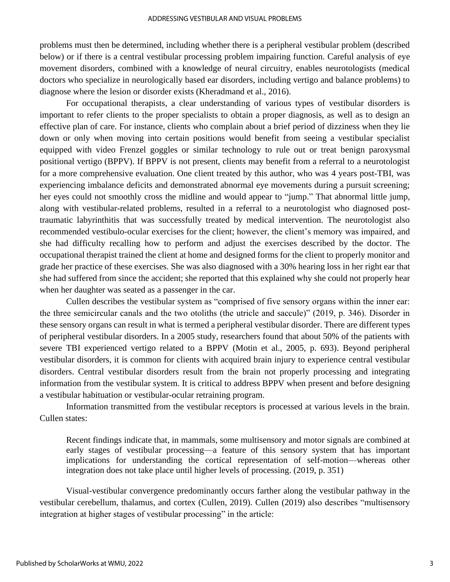problems must then be determined, including whether there is a peripheral vestibular problem (described below) or if there is a central vestibular processing problem impairing function. Careful analysis of eye movement disorders, combined with a knowledge of neural circuitry, enables neurotologists (medical doctors who specialize in neurologically based ear disorders, including vertigo and balance problems) to diagnose where the lesion or disorder exists (Kheradmand et al., 2016).

For occupational therapists, a clear understanding of various types of vestibular disorders is important to refer clients to the proper specialists to obtain a proper diagnosis, as well as to design an effective plan of care. For instance, clients who complain about a brief period of dizziness when they lie down or only when moving into certain positions would benefit from seeing a vestibular specialist equipped with video Frenzel goggles or similar technology to rule out or treat benign paroxysmal positional vertigo (BPPV). If BPPV is not present, clients may benefit from a referral to a neurotologist for a more comprehensive evaluation. One client treated by this author, who was 4 years post-TBI, was experiencing imbalance deficits and demonstrated abnormal eye movements during a pursuit screening; her eyes could not smoothly cross the midline and would appear to "jump." That abnormal little jump, along with vestibular-related problems, resulted in a referral to a neurotologist who diagnosed posttraumatic labyrinthitis that was successfully treated by medical intervention. The neurotologist also recommended vestibulo-ocular exercises for the client; however, the client's memory was impaired, and she had difficulty recalling how to perform and adjust the exercises described by the doctor. The occupational therapist trained the client at home and designed forms for the client to properly monitor and grade her practice of these exercises. She was also diagnosed with a 30% hearing loss in her right ear that she had suffered from since the accident; she reported that this explained why she could not properly hear when her daughter was seated as a passenger in the car.

Cullen describes the vestibular system as "comprised of five sensory organs within the inner ear: the three semicircular canals and the two otoliths (the utricle and saccule)" (2019, p. 346). Disorder in these sensory organs can result in what is termed a peripheral vestibular disorder. There are different types of peripheral vestibular disorders. In a 2005 study, researchers found that about 50% of the patients with severe TBI experienced vertigo related to a BPPV (Motin et al., 2005, p. 693). Beyond peripheral vestibular disorders, it is common for clients with acquired brain injury to experience central vestibular disorders. Central vestibular disorders result from the brain not properly processing and integrating information from the vestibular system. It is critical to address BPPV when present and before designing a vestibular habituation or vestibular-ocular retraining program.

Information transmitted from the vestibular receptors is processed at various levels in the brain. Cullen states:

Recent findings indicate that, in mammals, some multisensory and motor signals are combined at early stages of vestibular processing—a feature of this sensory system that has important implications for understanding the cortical representation of self-motion—whereas other integration does not take place until higher levels of processing. (2019, p. 351)

Visual-vestibular convergence predominantly occurs farther along the vestibular pathway in the vestibular cerebellum, thalamus, and cortex (Cullen, 2019). Cullen (2019) also describes "multisensory integration at higher stages of vestibular processing" in the article: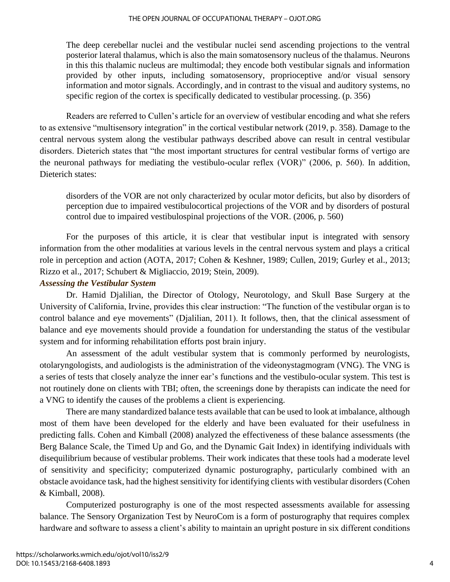#### THE OPEN JOURNAL OF OCCUPATIONAL THERAPY – OJOT.ORG

The deep cerebellar nuclei and the vestibular nuclei send ascending projections to the ventral posterior lateral thalamus, which is also the main somatosensory nucleus of the thalamus. Neurons in this this thalamic nucleus are multimodal; they encode both vestibular signals and information provided by other inputs, including somatosensory, proprioceptive and/or visual sensory information and motor signals. Accordingly, and in contrast to the visual and auditory systems, no specific region of the cortex is specifically dedicated to vestibular processing. (p. 356)

Readers are referred to Cullen's article for an overview of vestibular encoding and what she refers to as extensive "multisensory integration" in the cortical vestibular network (2019, p. 358). Damage to the central nervous system along the vestibular pathways described above can result in central vestibular disorders. Dieterich states that "the most important structures for central vestibular forms of vertigo are the neuronal pathways for mediating the vestibulo-ocular reflex (VOR)" (2006, p. 560). In addition, Dieterich states:

disorders of the VOR are not only characterized by ocular motor deficits, but also by disorders of perception due to impaired vestibulocortical projections of the VOR and by disorders of postural control due to impaired vestibulospinal projections of the VOR. (2006, p. 560)

For the purposes of this article, it is clear that vestibular input is integrated with sensory information from the other modalities at various levels in the central nervous system and plays a critical role in perception and action (AOTA, 2017; Cohen & Keshner, 1989; Cullen, 2019; Gurley et al., 2013; Rizzo et al., 2017; Schubert & Migliaccio, 2019; Stein, 2009).

#### *Assessing the Vestibular System*

Dr. Hamid Djalilian, the Director of Otology, Neurotology, and Skull Base Surgery at the University of California, Irvine, provides this clear instruction: "The function of the vestibular organ is to control balance and eye movements" (Djalilian, 2011). It follows, then, that the clinical assessment of balance and eye movements should provide a foundation for understanding the status of the vestibular system and for informing rehabilitation efforts post brain injury.

An assessment of the adult vestibular system that is commonly performed by neurologists, otolaryngologists, and audiologists is the administration of the videonystagmogram (VNG). The VNG is a series of tests that closely analyze the inner ear's functions and the vestibulo-ocular system. This test is not routinely done on clients with TBI; often, the screenings done by therapists can indicate the need for a VNG to identify the causes of the problems a client is experiencing.

There are many standardized balance tests available that can be used to look at imbalance, although most of them have been developed for the elderly and have been evaluated for their usefulness in predicting falls. Cohen and Kimball (2008) analyzed the effectiveness of these balance assessments (the Berg Balance Scale, the Timed Up and Go, and the Dynamic Gait Index) in identifying individuals with disequilibrium because of vestibular problems. Their work indicates that these tools had a moderate level of sensitivity and specificity; computerized dynamic posturography, particularly combined with an obstacle avoidance task, had the highest sensitivity for identifying clients with vestibular disorders (Cohen & Kimball, 2008).

Computerized posturography is one of the most respected assessments available for assessing balance. The Sensory Organization Test by NeuroCom is a form of posturography that requires complex hardware and software to assess a client's ability to maintain an upright posture in six different conditions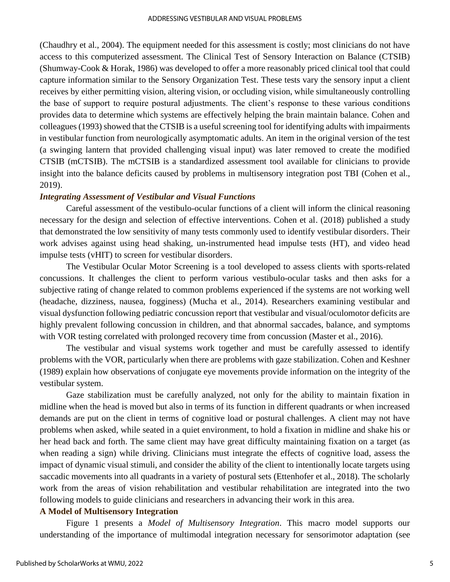#### ADDRESSING VESTIBULAR AND VISUAL PROBLEMS

(Chaudhry et al., 2004). The equipment needed for this assessment is costly; most clinicians do not have access to this computerized assessment. The Clinical Test of Sensory Interaction on Balance (CTSIB) (Shumway-Cook & Horak, 1986) was developed to offer a more reasonably priced clinical tool that could capture information similar to the Sensory Organization Test. These tests vary the sensory input a client receives by either permitting vision, altering vision, or occluding vision, while simultaneously controlling the base of support to require postural adjustments. The client's response to these various conditions provides data to determine which systems are effectively helping the brain maintain balance. Cohen and colleagues (1993) showed that the CTSIB is a useful screening tool for identifying adults with impairments in vestibular function from neurologically asymptomatic adults. An item in the original version of the test (a swinging lantern that provided challenging visual input) was later removed to create the modified CTSIB (mCTSIB). The mCTSIB is a standardized assessment tool available for clinicians to provide insight into the balance deficits caused by problems in multisensory integration post TBI (Cohen et al., 2019).

#### *Integrating Assessment of Vestibular and Visual Functions*

Careful assessment of the vestibulo-ocular functions of a client will inform the clinical reasoning necessary for the design and selection of effective interventions. Cohen et al. (2018) published a study that demonstrated the low sensitivity of many tests commonly used to identify vestibular disorders. Their work advises against using head shaking, un-instrumented head impulse tests (HT), and video head impulse tests (vHIT) to screen for vestibular disorders.

The Vestibular Ocular Motor Screening is a tool developed to assess clients with sports-related concussions. It challenges the client to perform various vestibulo-ocular tasks and then asks for a subjective rating of change related to common problems experienced if the systems are not working well (headache, dizziness, nausea, fogginess) (Mucha et al., 2014). Researchers examining vestibular and visual dysfunction following pediatric concussion report that vestibular and visual/oculomotor deficits are highly prevalent following concussion in children, and that abnormal saccades, balance, and symptoms with VOR testing correlated with prolonged recovery time from concussion (Master et al., 2016).

The vestibular and visual systems work together and must be carefully assessed to identify problems with the VOR, particularly when there are problems with gaze stabilization. Cohen and Keshner (1989) explain how observations of conjugate eye movements provide information on the integrity of the vestibular system.

Gaze stabilization must be carefully analyzed, not only for the ability to maintain fixation in midline when the head is moved but also in terms of its function in different quadrants or when increased demands are put on the client in terms of cognitive load or postural challenges. A client may not have problems when asked, while seated in a quiet environment, to hold a fixation in midline and shake his or her head back and forth. The same client may have great difficulty maintaining fixation on a target (as when reading a sign) while driving. Clinicians must integrate the effects of cognitive load, assess the impact of dynamic visual stimuli, and consider the ability of the client to intentionally locate targets using saccadic movements into all quadrants in a variety of postural sets (Ettenhofer et al., 2018). The scholarly work from the areas of vision rehabilitation and vestibular rehabilitation are integrated into the two following models to guide clinicians and researchers in advancing their work in this area.

#### **A Model of Multisensory Integration**

Figure 1 presents a *Model of Multisensory Integration*. This macro model supports our understanding of the importance of multimodal integration necessary for sensorimotor adaptation (see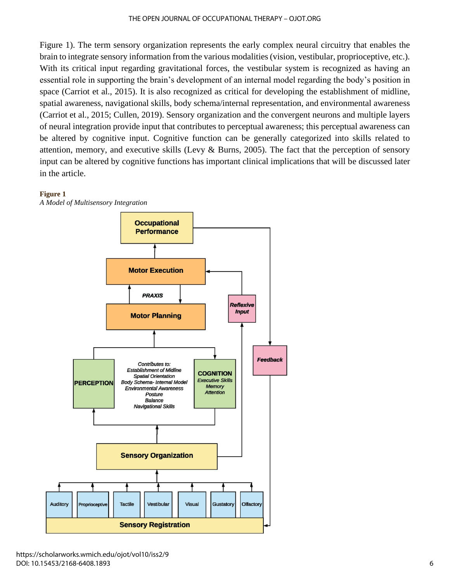#### THE OPEN JOURNAL OF OCCUPATIONAL THERAPY – OJOT.ORG

Figure 1). The term sensory organization represents the early complex neural circuitry that enables the brain to integrate sensory information from the various modalities (vision, vestibular, proprioceptive, etc.). With its critical input regarding gravitational forces, the vestibular system is recognized as having an essential role in supporting the brain's development of an internal model regarding the body's position in space (Carriot et al., 2015). It is also recognized as critical for developing the establishment of midline, spatial awareness, navigational skills, body schema/internal representation, and environmental awareness (Carriot et al., 2015; Cullen, 2019). Sensory organization and the convergent neurons and multiple layers of neural integration provide input that contributes to perceptual awareness; this perceptual awareness can be altered by cognitive input. Cognitive function can be generally categorized into skills related to attention, memory, and executive skills (Levy & Burns, 2005). The fact that the perception of sensory input can be altered by cognitive functions has important clinical implications that will be discussed later in the article.





https://scholarworks.wmich.edu/ojot/vol10/iss2/9 DOI: 10.15453/2168-6408.1893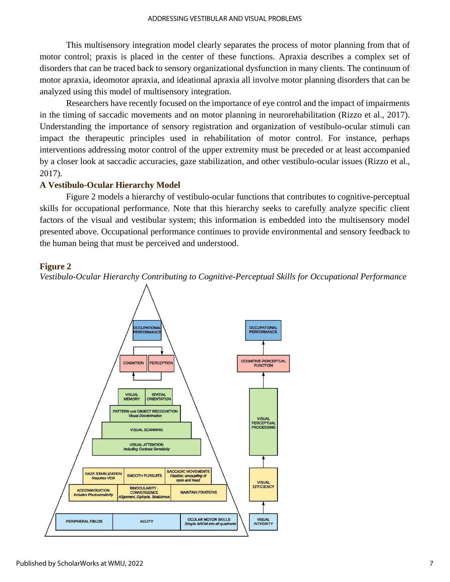This multisensory integration model clearly separates the process of motor planning from that of motor control; praxis is placed in the center of these functions. Apraxia describes a complex set of disorders that can be traced back to sensory organizational dysfunction in many clients. The continuum of motor apraxia, ideomotor apraxia, and ideational apraxia all involve motor planning disorders that can be analyzed using this model of multisensory integration.

Researchers have recently focused on the importance of eye control and the impact of impairments in the timing of saccadic movements and on motor planning in neurorehabilitation (Rizzo et al., 2017). Understanding the importance of sensory registration and organization of vestibulo-ocular stimuli can impact the therapeutic principles used in rehabilitation of motor control. For instance, perhaps interventions addressing motor control of the upper extremity must be preceded or at least accompanied by a closer look at saccadic accuracies, gaze stabilization, and other vestibulo-ocular issues (Rizzo et al., 2017).

#### **A Vestibulo-Ocular Hierarchy Model**

Figure 2 models a hierarchy of vestibulo-ocular functions that contributes to cognitive-perceptual skills for occupational performance. Note that this hierarchy seeks to carefully analyze specific client factors of the visual and vestibular system; this information is embedded into the multisensory model presented above. Occupational performance continues to provide environmental and sensory feedback to the human being that must be perceived and understood.

#### **Figure 2**

*Vestibulo-Ocular Hierarchy Contributing to Cognitive-Perceptual Skills for Occupational Performance*

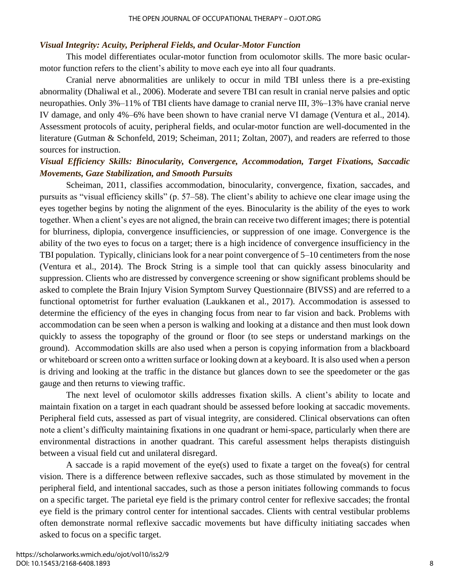#### *Visual Integrity: Acuity, Peripheral Fields, and Ocular-Motor Function*

This model differentiates ocular-motor function from oculomotor skills. The more basic ocularmotor function refers to the client's ability to move each eye into all four quadrants.

Cranial nerve abnormalities are unlikely to occur in mild TBI unless there is a pre-existing abnormality (Dhaliwal et al., 2006). Moderate and severe TBI can result in cranial nerve palsies and optic neuropathies. Only 3%–11% of TBI clients have damage to cranial nerve III, 3%–13% have cranial nerve IV damage, and only 4%–6% have been shown to have cranial nerve VI damage (Ventura et al., 2014). Assessment protocols of acuity, peripheral fields, and ocular-motor function are well-documented in the literature (Gutman & Schonfeld, 2019; Scheiman, 2011; Zoltan, 2007), and readers are referred to those sources for instruction.

# *Visual Efficiency Skills: Binocularity, Convergence, Accommodation, Target Fixations, Saccadic Movements, Gaze Stabilization, and Smooth Pursuits*

Scheiman, 2011, classifies accommodation, binocularity, convergence, fixation, saccades, and pursuits as "visual efficiency skills" (p. 57–58). The client's ability to achieve one clear image using the eyes together begins by noting the alignment of the eyes. Binocularity is the ability of the eyes to work together. When a client's eyes are not aligned, the brain can receive two different images; there is potential for blurriness, diplopia, convergence insufficiencies, or suppression of one image. Convergence is the ability of the two eyes to focus on a target; there is a high incidence of convergence insufficiency in the TBI population. Typically, clinicians look for a near point convergence of 5–10 centimeters from the nose (Ventura et al., 2014). The Brock String is a simple tool that can quickly assess binocularity and suppression. Clients who are distressed by convergence screening or show significant problems should be asked to complete the Brain Injury Vision Symptom Survey Questionnaire (BIVSS) and are referred to a functional optometrist for further evaluation (Laukkanen et al., 2017). Accommodation is assessed to determine the efficiency of the eyes in changing focus from near to far vision and back. Problems with accommodation can be seen when a person is walking and looking at a distance and then must look down quickly to assess the topography of the ground or floor (to see steps or understand markings on the ground). Accommodation skills are also used when a person is copying information from a blackboard or whiteboard or screen onto a written surface or looking down at a keyboard. It is also used when a person is driving and looking at the traffic in the distance but glances down to see the speedometer or the gas gauge and then returns to viewing traffic.

The next level of oculomotor skills addresses fixation skills. A client's ability to locate and maintain fixation on a target in each quadrant should be assessed before looking at saccadic movements. Peripheral field cuts, assessed as part of visual integrity, are considered. Clinical observations can often note a client's difficulty maintaining fixations in one quadrant or hemi-space, particularly when there are environmental distractions in another quadrant. This careful assessment helps therapists distinguish between a visual field cut and unilateral disregard.

A saccade is a rapid movement of the eye(s) used to fixate a target on the fovea(s) for central vision. There is a difference between reflexive saccades, such as those stimulated by movement in the peripheral field, and intentional saccades, such as those a person initiates following commands to focus on a specific target. The parietal eye field is the primary control center for reflexive saccades; the frontal eye field is the primary control center for intentional saccades. Clients with central vestibular problems often demonstrate normal reflexive saccadic movements but have difficulty initiating saccades when asked to focus on a specific target.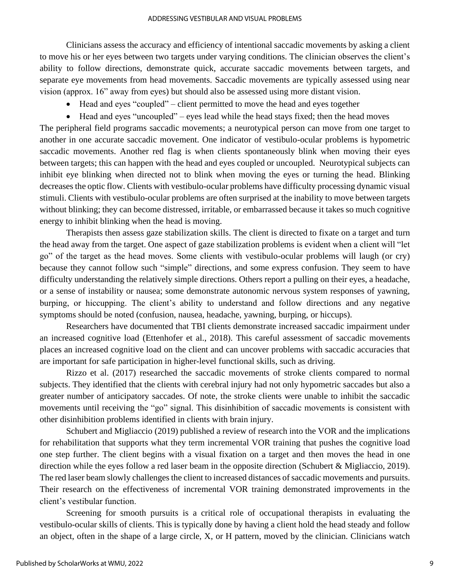Clinicians assess the accuracy and efficiency of intentional saccadic movements by asking a client to move his or her eyes between two targets under varying conditions. The clinician observes the client's ability to follow directions, demonstrate quick, accurate saccadic movements between targets, and separate eye movements from head movements. Saccadic movements are typically assessed using near vision (approx. 16" away from eyes) but should also be assessed using more distant vision.

- Head and eyes "coupled" client permitted to move the head and eyes together
- Head and eyes "uncoupled" eyes lead while the head stays fixed; then the head moves

The peripheral field programs saccadic movements; a neurotypical person can move from one target to another in one accurate saccadic movement. One indicator of vestibulo-ocular problems is hypometric saccadic movements. Another red flag is when clients spontaneously blink when moving their eyes between targets; this can happen with the head and eyes coupled or uncoupled. Neurotypical subjects can inhibit eye blinking when directed not to blink when moving the eyes or turning the head. Blinking decreases the optic flow. Clients with vestibulo-ocular problems have difficulty processing dynamic visual stimuli. Clients with vestibulo-ocular problems are often surprised at the inability to move between targets without blinking; they can become distressed, irritable, or embarrassed because it takes so much cognitive energy to inhibit blinking when the head is moving.

Therapists then assess gaze stabilization skills. The client is directed to fixate on a target and turn the head away from the target. One aspect of gaze stabilization problems is evident when a client will "let go" of the target as the head moves. Some clients with vestibulo-ocular problems will laugh (or cry) because they cannot follow such "simple" directions, and some express confusion. They seem to have difficulty understanding the relatively simple directions. Others report a pulling on their eyes, a headache, or a sense of instability or nausea; some demonstrate autonomic nervous system responses of yawning, burping, or hiccupping. The client's ability to understand and follow directions and any negative symptoms should be noted (confusion, nausea, headache, yawning, burping, or hiccups).

Researchers have documented that TBI clients demonstrate increased saccadic impairment under an increased cognitive load (Ettenhofer et al., 2018). This careful assessment of saccadic movements places an increased cognitive load on the client and can uncover problems with saccadic accuracies that are important for safe participation in higher-level functional skills, such as driving.

Rizzo et al. (2017) researched the saccadic movements of stroke clients compared to normal subjects. They identified that the clients with cerebral injury had not only hypometric saccades but also a greater number of anticipatory saccades. Of note, the stroke clients were unable to inhibit the saccadic movements until receiving the "go" signal. This disinhibition of saccadic movements is consistent with other disinhibition problems identified in clients with brain injury.

Schubert and Migliaccio (2019) published a review of research into the VOR and the implications for rehabilitation that supports what they term incremental VOR training that pushes the cognitive load one step further. The client begins with a visual fixation on a target and then moves the head in one direction while the eyes follow a red laser beam in the opposite direction (Schubert & Migliaccio, 2019). The red laser beam slowly challenges the client to increased distances of saccadic movements and pursuits. Their research on the effectiveness of incremental VOR training demonstrated improvements in the client's vestibular function.

Screening for smooth pursuits is a critical role of occupational therapists in evaluating the vestibulo-ocular skills of clients. This is typically done by having a client hold the head steady and follow an object, often in the shape of a large circle, X, or H pattern, moved by the clinician. Clinicians watch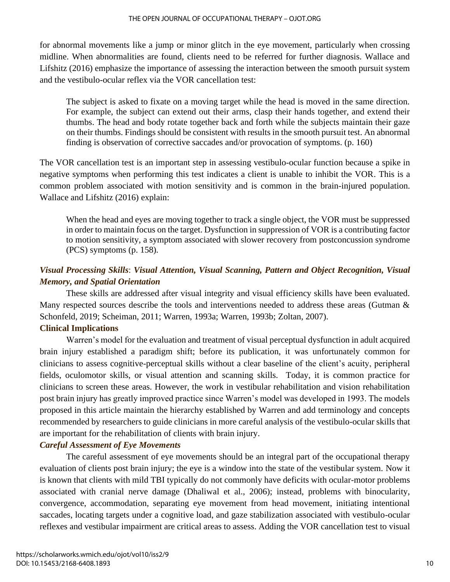for abnormal movements like a jump or minor glitch in the eye movement, particularly when crossing midline. When abnormalities are found, clients need to be referred for further diagnosis. Wallace and Lifshitz (2016) emphasize the importance of assessing the interaction between the smooth pursuit system and the vestibulo-ocular reflex via the VOR cancellation test:

The subject is asked to fixate on a moving target while the head is moved in the same direction. For example, the subject can extend out their arms, clasp their hands together, and extend their thumbs. The head and body rotate together back and forth while the subjects maintain their gaze on their thumbs. Findings should be consistent with results in the smooth pursuit test. An abnormal finding is observation of corrective saccades and/or provocation of symptoms. (p. 160)

The VOR cancellation test is an important step in assessing vestibulo-ocular function because a spike in negative symptoms when performing this test indicates a client is unable to inhibit the VOR. This is a common problem associated with motion sensitivity and is common in the brain-injured population. Wallace and Lifshitz (2016) explain:

When the head and eyes are moving together to track a single object, the VOR must be suppressed in order to maintain focus on the target. Dysfunction in suppression of VOR is a contributing factor to motion sensitivity, a symptom associated with slower recovery from postconcussion syndrome (PCS) symptoms (p. 158).

# *Visual Processing Skills*: *Visual Attention, Visual Scanning, Pattern and Object Recognition, Visual Memory, and Spatial Orientation*

These skills are addressed after visual integrity and visual efficiency skills have been evaluated. Many respected sources describe the tools and interventions needed to address these areas (Gutman & Schonfeld, 2019; Scheiman, 2011; Warren, 1993a; Warren, 1993b; Zoltan, 2007).

## **Clinical Implications**

Warren's model for the evaluation and treatment of visual perceptual dysfunction in adult acquired brain injury established a paradigm shift; before its publication, it was unfortunately common for clinicians to assess cognitive-perceptual skills without a clear baseline of the client's acuity, peripheral fields, oculomotor skills, or visual attention and scanning skills. Today, it is common practice for clinicians to screen these areas. However, the work in vestibular rehabilitation and vision rehabilitation post brain injury has greatly improved practice since Warren's model was developed in 1993. The models proposed in this article maintain the hierarchy established by Warren and add terminology and concepts recommended by researchers to guide clinicians in more careful analysis of the vestibulo-ocular skills that are important for the rehabilitation of clients with brain injury.

# *Careful Assessment of Eye Movements*

The careful assessment of eye movements should be an integral part of the occupational therapy evaluation of clients post brain injury; the eye is a window into the state of the vestibular system. Now it is known that clients with mild TBI typically do not commonly have deficits with ocular-motor problems associated with cranial nerve damage (Dhaliwal et al., 2006); instead, problems with binocularity, convergence, accommodation, separating eye movement from head movement, initiating intentional saccades, locating targets under a cognitive load, and gaze stabilization associated with vestibulo-ocular reflexes and vestibular impairment are critical areas to assess. Adding the VOR cancellation test to visual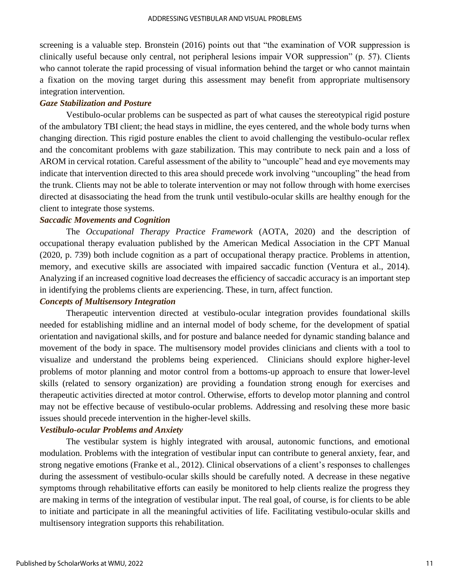screening is a valuable step. Bronstein (2016) points out that "the examination of VOR suppression is clinically useful because only central, not peripheral lesions impair VOR suppression" (p. 57). Clients who cannot tolerate the rapid processing of visual information behind the target or who cannot maintain a fixation on the moving target during this assessment may benefit from appropriate multisensory integration intervention.

#### *Gaze Stabilization and Posture*

Vestibulo-ocular problems can be suspected as part of what causes the stereotypical rigid posture of the ambulatory TBI client; the head stays in midline, the eyes centered, and the whole body turns when changing direction. This rigid posture enables the client to avoid challenging the vestibulo-ocular reflex and the concomitant problems with gaze stabilization. This may contribute to neck pain and a loss of AROM in cervical rotation. Careful assessment of the ability to "uncouple" head and eye movements may indicate that intervention directed to this area should precede work involving "uncoupling" the head from the trunk. Clients may not be able to tolerate intervention or may not follow through with home exercises directed at disassociating the head from the trunk until vestibulo-ocular skills are healthy enough for the client to integrate those systems.

#### *Saccadic Movements and Cognition*

The *Occupational Therapy Practice Framework* (AOTA, 2020) and the description of occupational therapy evaluation published by the American Medical Association in the CPT Manual (2020, p. 739) both include cognition as a part of occupational therapy practice. Problems in attention, memory, and executive skills are associated with impaired saccadic function (Ventura et al., 2014). Analyzing if an increased cognitive load decreases the efficiency of saccadic accuracy is an important step in identifying the problems clients are experiencing. These, in turn, affect function.

## *Concepts of Multisensory Integration*

Therapeutic intervention directed at vestibulo-ocular integration provides foundational skills needed for establishing midline and an internal model of body scheme, for the development of spatial orientation and navigational skills, and for posture and balance needed for dynamic standing balance and movement of the body in space. The multisensory model provides clinicians and clients with a tool to visualize and understand the problems being experienced. Clinicians should explore higher-level problems of motor planning and motor control from a bottoms-up approach to ensure that lower-level skills (related to sensory organization) are providing a foundation strong enough for exercises and therapeutic activities directed at motor control. Otherwise, efforts to develop motor planning and control may not be effective because of vestibulo-ocular problems. Addressing and resolving these more basic issues should precede intervention in the higher-level skills.

#### *Vestibulo-ocular Problems and Anxiety*

The vestibular system is highly integrated with arousal, autonomic functions, and emotional modulation. Problems with the integration of vestibular input can contribute to general anxiety, fear, and strong negative emotions (Franke et al., 2012). Clinical observations of a client's responses to challenges during the assessment of vestibulo-ocular skills should be carefully noted. A decrease in these negative symptoms through rehabilitative efforts can easily be monitored to help clients realize the progress they are making in terms of the integration of vestibular input. The real goal, of course, is for clients to be able to initiate and participate in all the meaningful activities of life. Facilitating vestibulo-ocular skills and multisensory integration supports this rehabilitation.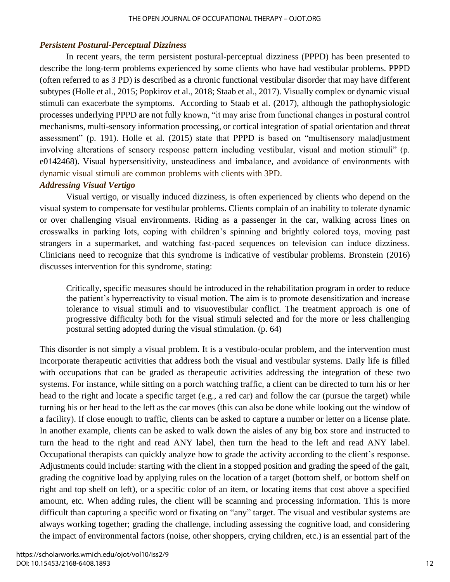## *Persistent Postural-Perceptual Dizziness*

In recent years, the term persistent postural-perceptual dizziness (PPPD) has been presented to describe the long-term problems experienced by some clients who have had vestibular problems. PPPD (often referred to as 3 PD) is described as a chronic functional vestibular disorder that may have different subtypes (Holle et al., 2015; Popkirov et al., 2018; Staab et al., 2017). Visually complex or dynamic visual stimuli can exacerbate the symptoms. According to Staab et al. (2017), although the pathophysiologic processes underlying PPPD are not fully known, "it may arise from functional changes in postural control mechanisms, multi-sensory information processing, or cortical integration of spatial orientation and threat assessment" (p. 191). Holle et al. (2015) state that PPPD is based on "multisensory maladjustment involving alterations of sensory response pattern including vestibular, visual and motion stimuli" (p. e0142468). Visual hypersensitivity, unsteadiness and imbalance, and avoidance of environments with dynamic visual stimuli are common problems with clients with 3PD.

## *Addressing Visual Vertigo*

Visual vertigo, or visually induced dizziness, is often experienced by clients who depend on the visual system to compensate for vestibular problems. Clients complain of an inability to tolerate dynamic or over challenging visual environments. Riding as a passenger in the car, walking across lines on crosswalks in parking lots, coping with children's spinning and brightly colored toys, moving past strangers in a supermarket, and watching fast-paced sequences on television can induce dizziness. Clinicians need to recognize that this syndrome is indicative of vestibular problems. Bronstein (2016) discusses intervention for this syndrome, stating:

Critically, specific measures should be introduced in the rehabilitation program in order to reduce the patient's hyperreactivity to visual motion. The aim is to promote desensitization and increase tolerance to visual stimuli and to visuovestibular conflict. The treatment approach is one of progressive difficulty both for the visual stimuli selected and for the more or less challenging postural setting adopted during the visual stimulation. (p. 64)

This disorder is not simply a visual problem. It is a vestibulo-ocular problem, and the intervention must incorporate therapeutic activities that address both the visual and vestibular systems. Daily life is filled with occupations that can be graded as therapeutic activities addressing the integration of these two systems. For instance, while sitting on a porch watching traffic, a client can be directed to turn his or her head to the right and locate a specific target (e.g., a red car) and follow the car (pursue the target) while turning his or her head to the left as the car moves (this can also be done while looking out the window of a facility). If close enough to traffic, clients can be asked to capture a number or letter on a license plate. In another example, clients can be asked to walk down the aisles of any big box store and instructed to turn the head to the right and read ANY label, then turn the head to the left and read ANY label. Occupational therapists can quickly analyze how to grade the activity according to the client's response. Adjustments could include: starting with the client in a stopped position and grading the speed of the gait, grading the cognitive load by applying rules on the location of a target (bottom shelf, or bottom shelf on right and top shelf on left), or a specific color of an item, or locating items that cost above a specified amount, etc. When adding rules, the client will be scanning and processing information. This is more difficult than capturing a specific word or fixating on "any" target. The visual and vestibular systems are always working together; grading the challenge, including assessing the cognitive load, and considering the impact of environmental factors (noise, other shoppers, crying children, etc.) is an essential part of the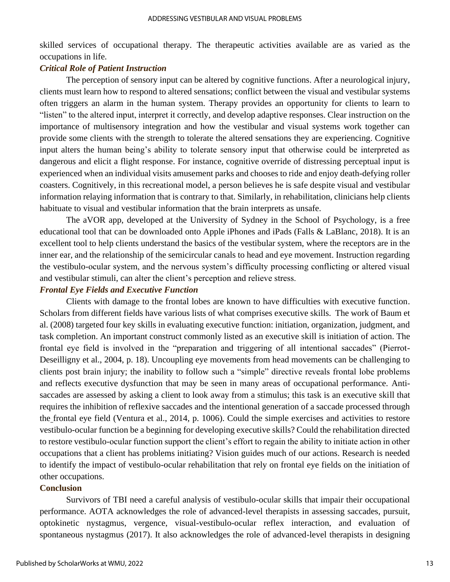skilled services of occupational therapy. The therapeutic activities available are as varied as the occupations in life.

#### *Critical Role of Patient Instruction*

The perception of sensory input can be altered by cognitive functions. After a neurological injury, clients must learn how to respond to altered sensations; conflict between the visual and vestibular systems often triggers an alarm in the human system. Therapy provides an opportunity for clients to learn to "listen" to the altered input, interpret it correctly, and develop adaptive responses. Clear instruction on the importance of multisensory integration and how the vestibular and visual systems work together can provide some clients with the strength to tolerate the altered sensations they are experiencing. Cognitive input alters the human being's ability to tolerate sensory input that otherwise could be interpreted as dangerous and elicit a flight response. For instance, cognitive override of distressing perceptual input is experienced when an individual visits amusement parks and chooses to ride and enjoy death-defying roller coasters. Cognitively, in this recreational model, a person believes he is safe despite visual and vestibular information relaying information that is contrary to that. Similarly, in rehabilitation, clinicians help clients habituate to visual and vestibular information that the brain interprets as unsafe.

The aVOR app, developed at the University of Sydney in the School of Psychology, is a free educational tool that can be downloaded onto Apple iPhones and iPads (Falls & LaBlanc, 2018). It is an excellent tool to help clients understand the basics of the vestibular system, where the receptors are in the inner ear, and the relationship of the semicircular canals to head and eye movement. Instruction regarding the vestibulo-ocular system, and the nervous system's difficulty processing conflicting or altered visual and vestibular stimuli, can alter the client's perception and relieve stress.

#### *Frontal Eye Fields and Executive Function*

Clients with damage to the frontal lobes are known to have difficulties with executive function. Scholars from different fields have various lists of what comprises executive skills. The work of Baum et al. (2008) targeted four key skills in evaluating executive function: initiation, organization, judgment, and task completion. An important construct commonly listed as an executive skill is initiation of action. The frontal eye field is involved in the "preparation and triggering of all intentional saccades" (Pierrot-Deseilligny et al., 2004, p. 18). Uncoupling eye movements from head movements can be challenging to clients post brain injury; the inability to follow such a "simple" directive reveals frontal lobe problems and reflects executive dysfunction that may be seen in many areas of occupational performance. Antisaccades are assessed by asking a client to look away from a stimulus; this task is an executive skill that requires the inhibition of reflexive saccades and the intentional generation of a saccade processed through the frontal eye field (Ventura et al., 2014, p. 1006). Could the simple exercises and activities to restore vestibulo-ocular function be a beginning for developing executive skills? Could the rehabilitation directed to restore vestibulo-ocular function support the client's effort to regain the ability to initiate action in other occupations that a client has problems initiating? Vision guides much of our actions. Research is needed to identify the impact of vestibulo-ocular rehabilitation that rely on frontal eye fields on the initiation of other occupations.

#### **Conclusion**

Survivors of TBI need a careful analysis of vestibulo-ocular skills that impair their occupational performance. AOTA acknowledges the role of advanced-level therapists in assessing saccades, pursuit, optokinetic nystagmus, vergence, visual-vestibulo-ocular reflex interaction, and evaluation of spontaneous nystagmus (2017). It also acknowledges the role of advanced-level therapists in designing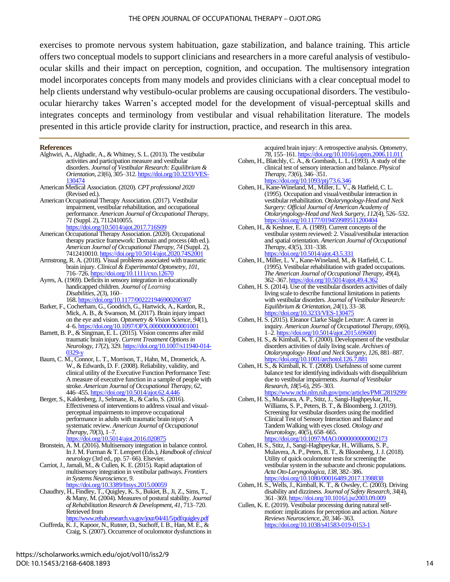exercises to promote nervous system habituation, gaze stabilization, and balance training. This article offers two conceptual models to support clinicians and researchers in a more careful analysis of vestibuloocular skills and their impact on perception, cognition, and occupation. The multisensory integration model incorporates concepts from many models and provides clinicians with a clear conceptual model to help clients understand why vestibulo-ocular problems are causing occupational disorders. The vestibuloocular hierarchy takes Warren's accepted model for the development of visual-perceptual skills and integrates concepts and terminology from vestibular and visual rehabilitation literature. The models presented in this article provide clarity for instruction, practice, and research in this area.

#### **References**

- Alghwiri, A., Alghadir, A., & Whitney, S. L. (2013). The vestibular activities and participation measure and vestibular disorders. *Journal of Vestibular Research: Equilibrium & Orientation*, *23*(6), 305–312. [https://doi.org/10.3233/VES-](https://doi.org/10.3233/VES-130474)[130474](https://doi.org/10.3233/VES-130474)
- American Medical Association. (2020). *CPT professional 2020*  (Revised ed.).
- American Occupational Therapy Association. (2017). Vestibular impairment, vestibular rehabilitation, and occupational performance. *American Journal of Occupational Therapy*, *71* (Suppl. 2), 7112410055. <https://doi.org/10.5014/ajot.2017.716S09>
- American Occupational Therapy Association. (2020). Occupational therapy practice framework: Domain and process (4th ed.). *American Journal of Occupational Therapy*, *74* (Suppl. 2), 7412410010. <https://doi.org/10.5014/ajot.2020.74S2001>
- Armstrong, R. A. (2018). Visual problems associated with traumatic brain injury. *Clinical & Experimental Optometry*, *101*, 716–726[. https://doi.org/10.1111/cxo.12670](https://doi.org/10.1111/cxo.12670)
- Ayres, A. (1969). Deficits in sensory integration in educationally handicapped children. *Journal of Learning Disabilities*, *2*(3), 160– 168. <https://doi.org/10.1177/002221946900200307>
- Barker, F., Cocherham, G., Goodrich, G., Hartwick, A., Kardon, R., Mick, A. B., & Swanson, M. (2017). Brain injury impact on the eye and vision. *Optometry & Vision Science*, *94*(1), 4–6[. https://doi.org/10.1097/OPX.0000000000001001](https://doi.org/10.1097/OPX.0000000000001001)
- Barnett, B. P., & Singman, E. L. (2015). Vision concerns after mild traumatic brain injury. *Current Treatment Options in Neurology*, *17*(2), 329. [https://doi.org/10.1007/s11940-014-](https://doi.org/10.1007/s11940-014-0329-y) [0329-y](https://doi.org/10.1007/s11940-014-0329-y)
- Baum, C. M., Connor, L. T., Morrison, T., Hahn, M., Dromerick, A. W., & Edwards, D. F. (2008). Reliability, validity, and clinical utility of the Executive Function Performance Test: A measure of executive function in a sample of people with stroke. *American Journal of Occupational Therapy, 62*, 446–455. <https://doi.org/10.5014/ajot.62.4.446>
- Berger, S., Kaldenberg, J., Selmane, R., & Carlo, S. (2016). Effectiveness of interventions to address visual and visualperceptual impairments to improve occupational performance in adults with traumatic brain injury: A systematic review. *American Journal of Occupational Therapy*, *70*(3), 1–7.
	- <https://doi.org/10.5014/ajot.2016.020875>
- Bronstein, A. M. (2016). Multisensory integration in balance control. In J. M. Furman & T. Lempert (Eds.), *Handbook of clinical neurology* (3rd ed., pp. 57–66). Elsevier.
- Carriot, J., Jamali, M., & Cullen, K. E. (2015). Rapid adaptation of multisensory integration in vestibular pathways. *Frontiers in Systems Neuroscience*, *9*. <https://doi.org/10.3389/fnsys.2015.00059>
- Chaudhry, H., Findley, T., Quigley, K. S., Bukiet, B., Ji, Z., Sims, T., & Many, M. (2004). Measures of postural stability. *Journal of Rehabilitation Research & Development*, *41*, 713–720. Retrieved from <https://www.rehab.research.va.gov/jour/04/41/5/pdf/quigley.pdf>
- Ciuffreda, K. J., Kapoor, N., Rutner, D., Suchoff, I. B., Han, M. E., & Craig, S. (2007). Occurrence of oculomotor dysfunctions in

acquired brain injury: A retrospective analysis. *Optometry*, *78*, 155–161[. https://doi.org/10.1016/j.optm.2006.11.011](https://doi.org/10.1016/j.optm.2006.11.011)

- Cohen, H., Blatchly, C. A., & Gombash, L. L. (1993). A study of the clinical test of sensory interaction and balance. *Physical Therapy*, *73*(6), 346–351. <https://doi.org/10.1093/ptj/73.6.346>
- Cohen, H., Kane-Wineland, M., Miller, L. V., & Hatfield, C. L. (1995). Occupation and visual/vestibular interaction in vestibular rehabilitation. *Otolaryngology-Head and Neck Surgery: Official Journal of American Academy of Otolaryngology-Head and Neck Surgery*, *112*(4), 526–532. <https://doi.org/10.1177/019459989511200404>
- Cohen, H., & Keshner, E. A. (1989). Current concepts of the vestibular system reviewed: 2. Visual/vestibular interaction and spatial orientation. *American Journal of Occupational Therapy*, *43*(5), 331–338.
- <https://doi.org/10.5014/ajot.43.5.331> Cohen, H., Miller, L. V., Kane-Wineland, M., & Hatfield, C. L. (1995). Vestibular rehabilitation with graded occupations. *The American Journal of Occupational Therapy*, *49*(4), 362–367. https://doi.org/10.5014/ajot.49.4.36
- Cohen, H. S. (2014). Use of the vestibular disorders activities of daily living scale to describe functional limitations in patients with vestibular disorders. *Journal of Vestibular Research: Equilibrium & Orientation*, *24*(1), 33–38. https://doi.org/10.3233/VES-13047
- Cohen, H. S. (2015). Eleanor Clarke Slagle Lecture: A career in inquiry. *American Journal of Occupational Therapy*, *69*(6), 1–2. https://doi.org/10.5014/ajot.2015.6960
- Cohen, H. S., & Kimball, K. T. (2000). Development of the vestibular disorders activities of daily living scale. *Archives of Otolaryngology- Head and Neck Surgery*, *126*, 881–887. <https://doi.org/10.1001/archotol.126.7.881>
- Cohen, H. S., & Kimball, K. T. (2008). Usefulness of some current balance test for identifying individuals with disequilibrium due to vestibular impairments. *Journal of Vestibular Research*, *18*(5-6), 295–303.

<https://www.ncbi.nlm.nih.gov/pmc/articles/PMC2819299/>

Cohen, H. S., Mulavara, A. P., Stitz, J., Sangi-Haghpeykar, H., Williams, S. P., Peters, B. T., & Bloomberg, J. (2019). Screening for vestibular disorders using the modified Clinical Test of Sensory Interaction and Balance and Tandem Walking with eyes closed. *Otology and Neurotology*, 40(5), 658–665.

<https://doi.org/10.1097/MAO.0000000000002173>

- Cohen, H. S., Stitz, J., Sangi-Haghpeykar, H., Williams, S. P., Mulavera, A. P., Peters, B. T., & Bloomberg, J. J. (2018). Utility of quick oculomotor tests for screening the vestibular system in the subacute and chronic populations. *Acta Oto-Laryngologica*, *138*, 382–386. https://doi.org/10.1080/00016489.2017.139
- Cohen, H. S., Wells, J., Kimball, K. T., & Owsley, C. (2003). Driving disability and dizziness. *Journal of Safety Research*, *34*(4), 361–369[. https://doi.org/10.1016/j.jsr2003.09.009](https://doi.org/10.1016/j.jsr2003.09.009)
- Cullen, K. E. (2019). Vestibular processing during natural selfmotion: implications for perception and action. *Nature Reviews Neuroscience*, *20*, 346–363. <https://doi.org/10.1038/s41583-019-0153-1>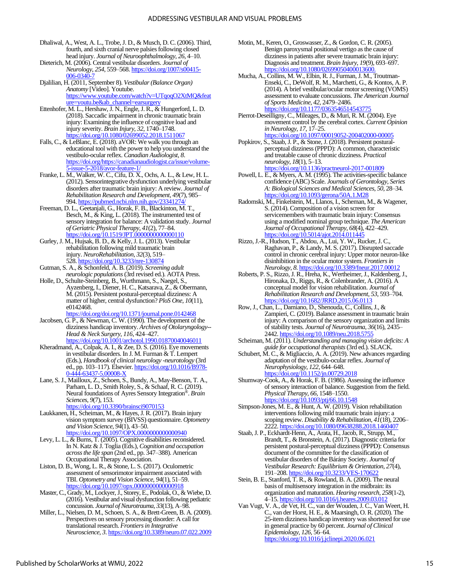- Dhaliwal, A., West, A. L., Trobe, J. D., & Musch, D. C. (2006). Third, fourth, and sixth cranial nerve palsies following closed head injury. *Journal of Neuroophthalmology*, *26*, 4–10.
- Dieterich, M. (2006). Central vestibular disorders. *Journal of Neurology*, *254*, 559–568[. https://doi.org/1007/s00415-](https://doi.org/1007/s00415-006-0340-7) [006-0340-7](https://doi.org/1007/s00415-006-0340-7)
- Djalilian, H. (2011, September 8). *Vestibular (Balance Organ) Anatomy* [Video]. Youtube. [https://www.youtube.com/watch?v=UTqoqO2XtMQ&feat](https://www.youtube.com/watch?v=UTqoqO2XtMQ&feature=youtu.be&ab_channel=earsurgery) [ure=youtu.be&ab\\_channel=earsurgery](https://www.youtube.com/watch?v=UTqoqO2XtMQ&feature=youtu.be&ab_channel=earsurgery)
- Ettenhofer, M. L., Hershaw, J. N., Engle, J. R., & Hungerford, L. D. (2018). Saccadic impairment in chronic traumatic brain injury: Examining the influence of cognitive load and injury severity. *Brain Injury*, *32*, 1740–1748. <https://doi.org/10.1080/02699052.2018.1511067>
- Falls, C., & LeBlanc, E. (2018). aVOR: We walk you through an educational tool with the power to help you understand the vestibulo-ocular reflex. *Canadian Audiologist*, *8*. [https://doi.org/https://canadianaudiologist.ca/issue/volume-](https://doi.org/https:/canadianaudiologist.ca/issue/volume-5-issue-5-2018/avor-feature-1/)[5-issue-5-2018/avor-feature-1/](https://doi.org/https:/canadianaudiologist.ca/issue/volume-5-issue-5-2018/avor-feature-1/)
- Franke, L. M., Walker, W. C., Cifu, D. X., Ochs, A. L., & Lew, H. L. (2012). Sensorintegrative dysfunction underlying vestibular disorders after traumatic brain injury: A review. *Journal of Rehabilitation Research and Development*, *49*(7), 985– 994. https://pubmed.ncbi.nlm.nih.gov/2334127-
- Freeman, D. L., Geetanjali, G., Horak, F. B., Blackinton, M. T., Besch, M., & King, L. (2018). The instrumented test of sensory integration for balance: A validation study. *Journal of Geriatric Physical Therapy*, *41*(2), 77–84. <https://doi.org/10.1519/JPT.0000000000000110>
- Gurley, J. M., Hujsak, B. D., & Kelly, J. L. (2013). Vestibular rehabilitation following mild traumatic brain injury. *NeuroRehabilitation*, *32*(3), 519– 528. <https://doi.org/10.3233/nre-130874>
- Gutman, S. A., & Schonfeld, A. B. (2019). *Screening adult neurologic populations*(3rd revised ed.). AOTA Press.
- Holle, D., Schulte-Steinberg, B., Wurthmann, S., Naegel, S., Ayzenberg, I., Diener, H. C., Katsarava, Z., & Obermann, M. (2015). Persistent postural-perceptual dizziness: A matter of higher, central dysfunction? *PloS One*, *10*(11), e0142468.
- <https://doi.org/doi.org/10.1371/journal.pone.0142468> Jacobsen, G. P., & Newman, C. W. (1990). The development of the dizziness handicap inventory. *Archives of Otolaryngology-- Head & Neck Surgery*, *116*, 424–427. <https://doi.org/10.1001/archotol.1990.01870040046011>
- Kheradmand, A., Colpak, A. I., & Zee, D. S. (2016). Eye movements in vestibular disorders. In J. M. Furman & T. Lempert (Eds.), *Handbook of clinical neurology -neurotology* (3rd ed., pp. 103-117). Elsevier[. https://doi.org/10.1016/B978-](https://doi.org/10.1016/B978-0-444-63437-5.00008-X) [0-444-63437-5.00008-X](https://doi.org/10.1016/B978-0-444-63437-5.00008-X)
- Lane, S. J., Mailloux, Z., Schoen, S., Bundy, A., May-Benson, T. A., Parham, L. D., Smith Roley, S., & Schaaf, R. C. (2019). Neural foundations of Ayres Sensory Integration®. *Brain Sciences*, *9*(7), 153. <https://doi.org/10.3390/brainsci9070153>
- Laukkanen, H., Scheiman, M., & Hayes, J. R. (2017). Brain injury vision symptom survey (BIVSS) questionnaire. *Optometry and Vision Science*, *94*(1), 43–50. <https://doi.org/10.1097/OPX.0000000000000940>
- Levy, L. L., & Burns, T. (2005). Cognitive disabilities reconsidered. In N. Katz & J. Toglia (Eds.), *Cognition and occupation across the life span* (2nd ed., pp. 347–388). American Occupational Therapy Association.
- Liston, D. B., Wong, L. R., & Stone, L. S. (2017). Oculometric assessment of sensorimotor impairment associated with TBI. *Optometry and Vision Science*, *94*(1), 51–59. https://doi.org/10.1097/opx.000000000000000918
- Master, C., Grady, M., Lockyer, J., Storey, E., Podolak, O., & Wiebe, D. (2016). Vestibular and visual dysfunction following pediatric concussion. *Journal of Neurotrauma*, *33*(13), A–98.
- Miller, L., Nielsen, D. M., Schoen, S. A., & Brett-Green, B. A. (2009). Perspectives on sensory processing disorder: A call for translational research. *Frontiers in Integrative Neuroscience*, *3*[. https://doi.org/10.3389/neuro.07.022.2009](https://doi.org/10.3389/neuro.07.022.2009)
- Motin, M., Keren, O., Groswasser, Z., & Gordon, C. R. (2005). Benign paroxysmal positional vertigo as the cause of dizziness in patients after severe traumatic brain injury: Diagnosis and treatment. *Brain Injury*, *19*(9), 693–697. https://doi.org/10.1080/0269905040001360
- Mucha, A., Collins, M. W., Elbin, R. J., Furman, J. M., Troutman-Enseki, C., DeWolf, R. M., Marchetti, G., & Kontos, A. P. (2014). A brief vestibular/ocular motor screening (VOMS) assessment to evaluate concussions. *The American Journal of Sports Medicine*, *42*, 2479–2486. <https://doi.org/10.1177/0363546514543775>
- Pierrot-Deseilligny, C., Mileages, D., & Muri, R. M. (2004). Eye movement control by the cerebral cortex. *Current Opinion in Neurology*, *17*, 17–25. <https://doi.org/10.1097/00019052-200402000-00005>
- Popkirov, S., Staab, J. P., & Stone, J. (2018). Persistent posturalperceptual dizziness (PPPD): A common, characteristic and treatable cause of chronic dizziness. *Practical neurology*, *18*(1), 5–13. <https://doi.org/10.1136/practneurol-2017-001809>
- Powell, L. E., & Myers, A. M. (1995). The activities-specific balance confidence (ABC) Scale. *Journals of Gerontology, Series A: Biological Sciences and Medical Sciences*, *50*, 28–34. <https://doi.org/10.1093/gerona/50A.1.M28>
- Radomski, M., Finkelstein, M., Llanos, I., Scheman, M., & Wagener, S. (2014). Composition of a vision screen for servicemembers with traumatic brain injury: Consensus using a modified nominal group technique. *The American Journal of Occupational Therapy*, *68*(4), 422–429. <https://doi.org/10.5014/ajot.2014.011445>
- Rizzo, J.-R., Hudson, T., Abdou, A., Lui, Y. W., Rucker, J. C., Raghavan, P., & Landy, M. S. (2017). Disrupted saccade control in chronic cerebral injury: Upper motor neuron-like disinhibition in the ocular motor system. *Frontiers in Neurology*, *8*[. https://doi.org/10.3389/fneur.2017.00012](https://doi.org/10.3389/fneur.2017.00012)
- Roberts, P. S., Rizzo, J. R., Hreha, K., Wertheimer, J., Kaldenberg, J., Hironaka, D., Riggs, R., & Colenbrander, A. (2016). A conceptual model for vision rehabilitation. *Journal of Rehabilitation Research and Development*, *53*, 593–704. <https://doi.org/10.1682/JRRD.2015.06.0113>
- Row, J., Chan, L., Damiano, D., Shenouda, C., Collins, J., & Zampieri, C. (2019). Balance assessment in traumatic brain injury: A comparison of the sensory organization and limits of stability tests. *Journal of Neurotrauma*, *36*(16), 2435– 2442[. https://doi.org/10.1089/neu.2018.5755](https://doi.org/10.1089/neu.2018.5755)
- Scheiman, M. (2011). *Understanding and managing vision deficits: A guide for occupational therapists*(3rd ed.). SLACK.
- Schubert, M. C., & Migliaccio, A. A. (2019). New advances regarding adaptation of the vestibulo-ocular reflex. *Journal of Neurophysiology*, *122*, 644–648. <https://doi.org/10.1152/jn.00729.2018>
- Shumway-Cook, A., & Horak, F. B. (1986). Assessing the influence of sensory interaction of balance. Suggestion from the field. *Physical Therapy*, *66*, 1548–1550. <https://doi.org/10.1093/ptj/66.10.1548>
- Simpson-Jones, M. E., & Hunt, A. W. (2019). Vision rehabilitation interventions following mild traumatic brain injury: a scoping review. *Disability & Rehabilitation*, *41*(18), 2206– 2222. https://doi.org/10.1080/09638288.2018.1460
- Staab, J. P., Eckhardt-Henn, A., Arata, H., Jacob, R., Strupp, M., Brandt, T., & Bronstein, A. (2017). Diagnostic criteria for persistent postural-perceptual dizziness (PPPD): Consensus document of the committee for the classification of vestibular disorders of the Bárány Society. *Journal of Vestibular Research: Equilibrium & Orientation*, *27*(4), 191-208. https://doi.org/10.3233/VES-17062
- Stein, B. E., Stanford, T. R., & Rowland, B. A. (2009). The neural basis of multisensory integration in the midbrain: its organization and maturation. *Hearing research*, *258*(1-2), 4–15[. https://doi.org/10.1016/j.heares.2009.03.012](https://doi.org/10.1016/j.heares.2009.03.012)
- Van Vugt, V. A., de Vet, H. C., van der Wouden, J. C., Van Weert, H. C., van der Horst, H. E., & Maarsingh, O. R. (2020). The 25-item dizziness handicap inventory was shortened for use in general practice by 60 percent. *Journal of Clinical Epidemiology*, *126*, 56–64. <https://doi.org/10.1016/j.jclinepi.2020.06.021>